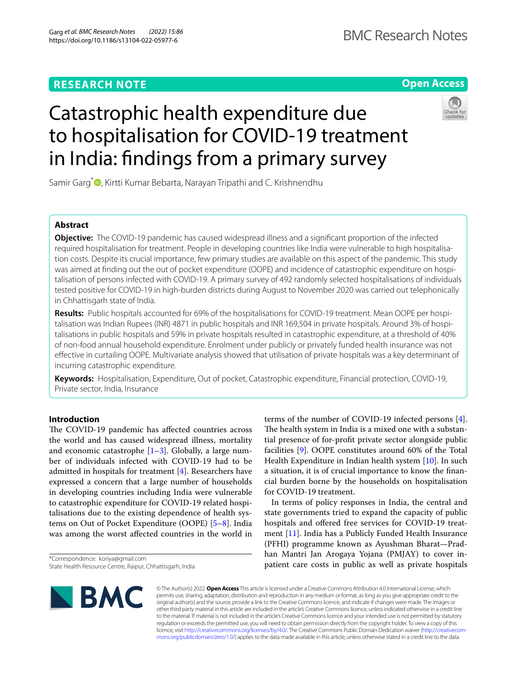# **RESEARCH NOTE**

# **Open Access**

# Catastrophic health expenditure due to hospitalisation for COVID-19 treatment in India: fndings from a primary survey



Samir Garg<sup>\*</sup> **D**[,](http://orcid.org/0000-0003-4915-0731) Kirtti Kumar Bebarta, Narayan Tripathi and C. Krishnendhu

## **Abstract**

**Objective:** The COVID-19 pandemic has caused widespread illness and a signifcant proportion of the infected required hospitalisation for treatment. People in developing countries like India were vulnerable to high hospitalisation costs. Despite its crucial importance, few primary studies are available on this aspect of the pandemic. This study was aimed at fnding out the out of pocket expenditure (OOPE) and incidence of catastrophic expenditure on hospitalisation of persons infected with COVID-19. A primary survey of 492 randomly selected hospitalisations of individuals tested positive for COVID-19 in high-burden districts during August to November 2020 was carried out telephonically in Chhattisgarh state of India.

**Results:** Public hospitals accounted for 69% of the hospitalisations for COVID-19 treatment. Mean OOPE per hospitalisation was Indian Rupees (INR) 4871 in public hospitals and INR 169,504 in private hospitals. Around 3% of hospitalisations in public hospitals and 59% in private hospitals resulted in catastrophic expenditure, at a threshold of 40% of non-food annual household expenditure. Enrolment under publicly or privately funded health insurance was not efective in curtailing OOPE. Multivariate analysis showed that utilisation of private hospitals was a key determinant of incurring catastrophic expenditure.

**Keywords:** Hospitalisation, Expenditure, Out of pocket, Catastrophic expenditure, Financial protection, COVID-19, Private sector, India, Insurance

## **Introduction**

The COVID-19 pandemic has affected countries across the world and has caused widespread illness, mortality and economic catastrophe  $[1-3]$  $[1-3]$ . Globally, a large number of individuals infected with COVID-19 had to be admitted in hospitals for treatment [\[4\]](#page-5-2). Researchers have expressed a concern that a large number of households in developing countries including India were vulnerable to catastrophic expenditure for COVID-19 related hospitalisations due to the existing dependence of health systems on Out of Pocket Expenditure (OOPE) [\[5](#page-5-3)[–8](#page-5-4)]. India was among the worst afected countries in the world in

\*Correspondence: koriya@gmail.com State Health Resource Centre, Raipur, Chhattisgarh, India terms of the number of COVID-19 infected persons [\[4](#page-5-2)]. The health system in India is a mixed one with a substantial presence of for-proft private sector alongside public facilities [\[9](#page-5-5)]. OOPE constitutes around 60% of the Total Health Expenditure in Indian health system [\[10](#page-5-6)]. In such a situation, it is of crucial importance to know the fnancial burden borne by the households on hospitalisation for COVID-19 treatment.

In terms of policy responses in India, the central and state governments tried to expand the capacity of public hospitals and offered free services for COVID-19 treatment [\[11\]](#page-5-7). India has a Publicly Funded Health Insurance (PFHI) programme known as Ayushman Bharat—Pradhan Mantri Jan Arogaya Yojana (PMJAY) to cover inpatient care costs in public as well as private hospitals



© The Author(s) 2022. **Open Access** This article is licensed under a Creative Commons Attribution 4.0 International License, which permits use, sharing, adaptation, distribution and reproduction in any medium or format, as long as you give appropriate credit to the original author(s) and the source, provide a link to the Creative Commons licence, and indicate if changes were made. The images or other third party material in this article are included in the article's Creative Commons licence, unless indicated otherwise in a credit line to the material. If material is not included in the article's Creative Commons licence and your intended use is not permitted by statutory regulation or exceeds the permitted use, you will need to obtain permission directly from the copyright holder. To view a copy of this licence, visit [http://creativecommons.org/licenses/by/4.0/.](http://creativecommons.org/licenses/by/4.0/) The Creative Commons Public Domain Dedication waiver ([http://creativecom](http://creativecommons.org/publicdomain/zero/1.0/)[mons.org/publicdomain/zero/1.0/\)](http://creativecommons.org/publicdomain/zero/1.0/) applies to the data made available in this article, unless otherwise stated in a credit line to the data.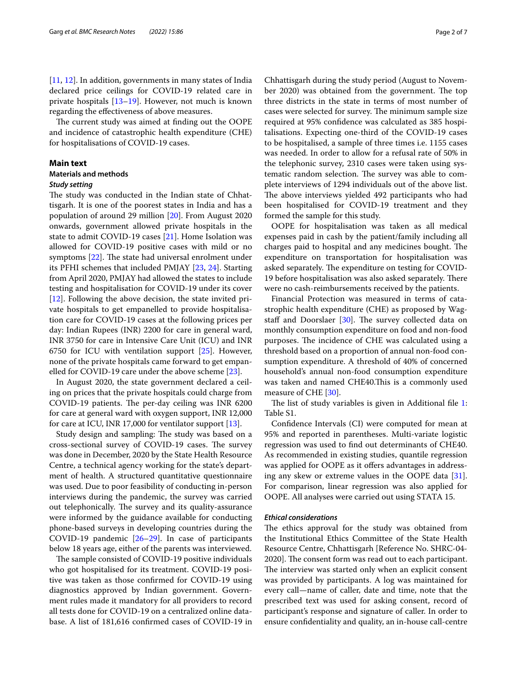The current study was aimed at finding out the OOPE and incidence of catastrophic health expenditure (CHE) for hospitalisations of COVID-19 cases.

#### **Main text**

## **Materials and methods**

#### *Study setting*

The study was conducted in the Indian state of Chhattisgarh. It is one of the poorest states in India and has a population of around 29 million [[20](#page-5-11)]. From August 2020 onwards, government allowed private hospitals in the state to admit COVID-19 cases [[21\]](#page-5-12). Home Isolation was allowed for COVID-19 positive cases with mild or no symptoms  $[22]$  $[22]$ . The state had universal enrolment under its PFHI schemes that included PMJAY [[23,](#page-5-14) [24\]](#page-5-15). Starting from April 2020, PMJAY had allowed the states to include testing and hospitalisation for COVID-19 under its cover [[12\]](#page-5-8). Following the above decision, the state invited private hospitals to get empanelled to provide hospitalisation care for COVID-19 cases at the following prices per day: Indian Rupees (INR) 2200 for care in general ward, INR 3750 for care in Intensive Care Unit (ICU) and INR 6750 for ICU with ventilation support [[25\]](#page-5-16). However, none of the private hospitals came forward to get empanelled for COVID-19 care under the above scheme [[23\]](#page-5-14).

In August 2020, the state government declared a ceiling on prices that the private hospitals could charge from COVID-19 patients. The per-day ceiling was INR 6200 for care at general ward with oxygen support, INR 12,000 for care at ICU, INR 17,000 for ventilator support [[13](#page-5-9)].

Study design and sampling: The study was based on a cross-sectional survey of COVID-19 cases. The survey was done in December, 2020 by the State Health Resource Centre, a technical agency working for the state's department of health. A structured quantitative questionnaire was used. Due to poor feasibility of conducting in-person interviews during the pandemic, the survey was carried out telephonically. The survey and its quality-assurance were informed by the guidance available for conducting phone-based surveys in developing countries during the COVID-19 pandemic [[26–](#page-5-17)[29](#page-5-18)]. In case of participants below 18 years age, either of the parents was interviewed.

The sample consisted of COVID-19 positive individuals who got hospitalised for its treatment. COVID-19 positive was taken as those confrmed for COVID-19 using diagnostics approved by Indian government. Government rules made it mandatory for all providers to record all tests done for COVID-19 on a centralized online database. A list of 181,616 confrmed cases of COVID-19 in

Chhattisgarh during the study period (August to November 2020) was obtained from the government. The top three districts in the state in terms of most number of cases were selected for survey. The minimum sample size required at 95% confdence was calculated as 385 hospitalisations. Expecting one-third of the COVID-19 cases to be hospitalised, a sample of three times i.e. 1155 cases was needed. In order to allow for a refusal rate of 50% in the telephonic survey, 2310 cases were taken using systematic random selection. The survey was able to complete interviews of 1294 individuals out of the above list. The above interviews yielded 492 participants who had been hospitalised for COVID-19 treatment and they formed the sample for this study.

OOPE for hospitalisation was taken as all medical expenses paid in cash by the patient/family including all charges paid to hospital and any medicines bought. The expenditure on transportation for hospitalisation was asked separately. The expenditure on testing for COVID-19 before hospitalisation was also asked separately. There were no cash-reimbursements received by the patients.

Financial Protection was measured in terms of catastrophic health expenditure (CHE) as proposed by Wagstaff and Doorslaer  $[30]$ . The survey collected data on monthly consumption expenditure on food and non-food purposes. The incidence of CHE was calculated using a threshold based on a proportion of annual non-food consumption expenditure. A threshold of 40% of concerned household's annual non-food consumption expenditure was taken and named CHE40.This is a commonly used measure of CHE [[30](#page-5-19)].

The list of study variables is given in Additional file  $1$ : Table S1.

Confdence Intervals (CI) were computed for mean at 95% and reported in parentheses. Multi-variate logistic regression was used to fnd out determinants of CHE40. As recommended in existing studies, quantile regression was applied for OOPE as it offers advantages in addressing any skew or extreme values in the OOPE data [\[31](#page-5-20)]. For comparison, linear regression was also applied for OOPE. All analyses were carried out using STATA 15.

## *Ethical considerations*

The ethics approval for the study was obtained from the Institutional Ethics Committee of the State Health Resource Centre, Chhattisgarh [Reference No. SHRC-04- 2020]. The consent form was read out to each participant. The interview was started only when an explicit consent was provided by participants. A log was maintained for every call—name of caller, date and time, note that the prescribed text was used for asking consent, record of participant's response and signature of caller. In order to ensure confdentiality and quality, an in-house call-centre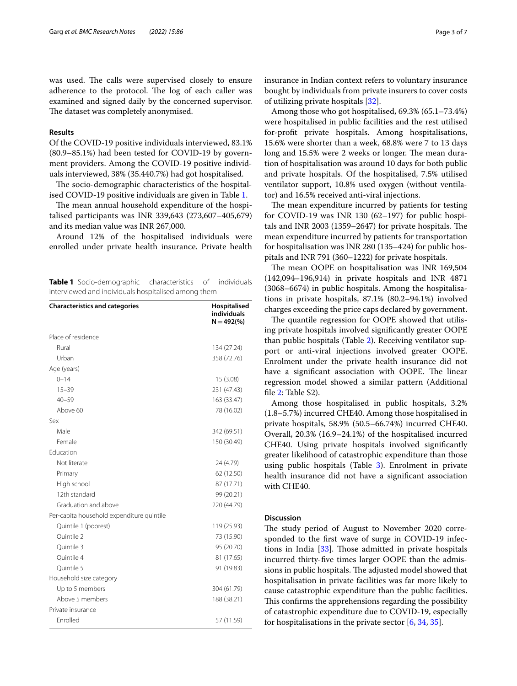was used. The calls were supervised closely to ensure adherence to the protocol. The log of each caller was examined and signed daily by the concerned supervisor. The dataset was completely anonymised.

#### **Results**

Of the COVID-19 positive individuals interviewed, 83.1% (80.9–85.1%) had been tested for COVID-19 by government providers. Among the COVID-19 positive individuals interviewed, 38% (35.440.7%) had got hospitalised.

The socio-demographic characteristics of the hospitalised COVID-19 positive individuals are given in Table [1](#page-2-0).

The mean annual household expenditure of the hospitalised participants was INR 339,643 (273,607–405,679) and its median value was INR 267,000.

Around 12% of the hospitalised individuals were enrolled under private health insurance. Private health

<span id="page-2-0"></span>**Table 1** Socio-demographic characteristics of individuals interviewed and individuals hospitalised among them

| <b>Characteristics and categories</b>     | Hospitalised<br>individuals<br>$N = 492(% )$ |
|-------------------------------------------|----------------------------------------------|
| Place of residence                        |                                              |
| Rural                                     | 134 (27.24)                                  |
| Urban                                     | 358 (72.76)                                  |
| Age (years)                               |                                              |
| $0 - 14$                                  | 15 (3.08)                                    |
| $15 - 39$                                 | 231 (47.43)                                  |
| $40 - 59$                                 | 163 (33.47)                                  |
| Above 60                                  | 78 (16.02)                                   |
| Sex                                       |                                              |
| Male                                      | 342 (69.51)                                  |
| Female                                    | 150 (30.49)                                  |
| <b>Education</b>                          |                                              |
| Not literate                              | 24 (4.79)                                    |
| Primary                                   | 62 (12.50)                                   |
| High school                               | 87 (17.71)                                   |
| 12th standard                             | 99 (20.21)                                   |
| Graduation and above                      | 220 (44.79)                                  |
| Per-capita household expenditure quintile |                                              |
| Quintile 1 (poorest)                      | 119 (25.93)                                  |
| Ouintile 2                                | 73 (15.90)                                   |
| Ouintile 3                                | 95 (20.70)                                   |
| Ouintile 4                                | 81 (17.65)                                   |
| Ouintile 5                                | 91 (19.83)                                   |
| Household size category                   |                                              |
| Up to 5 members                           | 304 (61.79)                                  |
| Above 5 members                           | 188 (38.21)                                  |
| Private insurance                         |                                              |
| <b>Fnrolled</b>                           | 57 (11.59)                                   |

insurance in Indian context refers to voluntary insurance bought by individuals from private insurers to cover costs of utilizing private hospitals [[32\]](#page-5-21).

Among those who got hospitalised, 69.3% (65.1–73.4%) were hospitalised in public facilities and the rest utilised for-proft private hospitals. Among hospitalisations, 15.6% were shorter than a week, 68.8% were 7 to 13 days long and 15.5% were 2 weeks or longer. The mean duration of hospitalisation was around 10 days for both public and private hospitals. Of the hospitalised, 7.5% utilised ventilator support, 10.8% used oxygen (without ventilator) and 16.5% received anti-viral injections.

The mean expenditure incurred by patients for testing for COVID-19 was INR 130 (62–197) for public hospitals and INR 2003 (1359–2647) for private hospitals. The mean expenditure incurred by patients for transportation for hospitalisation was INR 280 (135–424) for public hospitals and INR 791 (360–1222) for private hospitals.

The mean OOPE on hospitalisation was INR 169,504 (142,094–196,914) in private hospitals and INR 4871 (3068–6674) in public hospitals. Among the hospitalisations in private hospitals, 87.1% (80.2–94.1%) involved charges exceeding the price caps declared by government.

The quantile regression for OOPE showed that utilising private hospitals involved signifcantly greater OOPE than public hospitals (Table [2](#page-3-0)). Receiving ventilator support or anti-viral injections involved greater OOPE. Enrolment under the private health insurance did not have a significant association with OOPE. The linear regression model showed a similar pattern (Additional file [2](#page-4-1): Table S2).

Among those hospitalised in public hospitals, 3.2% (1.8–5.7%) incurred CHE40. Among those hospitalised in private hospitals, 58.9% (50.5–66.74%) incurred CHE40. Overall, 20.3% (16.9–24.1%) of the hospitalised incurred CHE40. Using private hospitals involved signifcantly greater likelihood of catastrophic expenditure than those using public hospitals (Table  $3$ ). Enrolment in private health insurance did not have a signifcant association with CHE40.

#### **Discussion**

The study period of August to November 2020 corresponded to the frst wave of surge in COVID-19 infections in India  $[33]$  $[33]$ . Those admitted in private hospitals incurred thirty-fve times larger OOPE than the admissions in public hospitals. The adjusted model showed that hospitalisation in private facilities was far more likely to cause catastrophic expenditure than the public facilities. This confirms the apprehensions regarding the possibility of catastrophic expenditure due to COVID-19, especially for hospitalisations in the private sector  $[6, 34, 35]$  $[6, 34, 35]$  $[6, 34, 35]$  $[6, 34, 35]$  $[6, 34, 35]$ .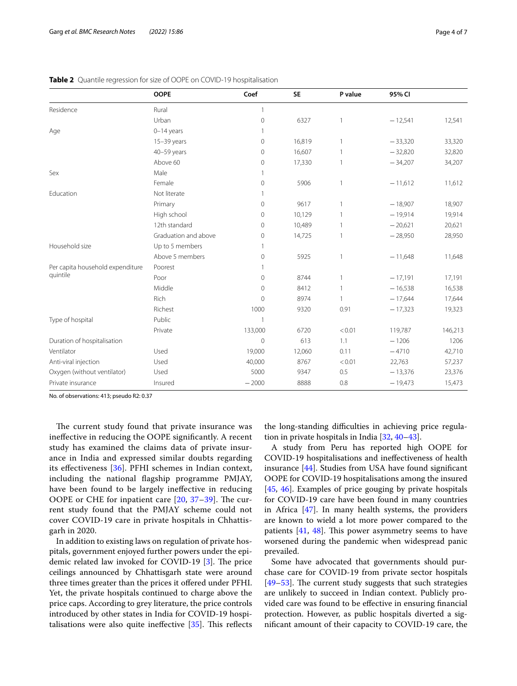|                                              | <b>OOPE</b>          | Coef                | <b>SE</b> | P value        | 95% CI    |         |
|----------------------------------------------|----------------------|---------------------|-----------|----------------|-----------|---------|
| Residence                                    | Rural                | $\mathbf{1}$        |           |                |           |         |
|                                              | Urban                | $\mathbf 0$         | 6327      | $\mathbf{1}$   | $-12,541$ | 12,541  |
| Age                                          | $0-14$ years         | 1                   |           |                |           |         |
|                                              | $15-39$ years        | $\mathsf{O}\xspace$ | 16,819    | $\mathbf{1}$   | $-33,320$ | 33,320  |
|                                              | 40-59 years          | $\mathbf{0}$        | 16,607    | $\mathbf{1}$   | $-32,820$ | 32,820  |
|                                              | Above 60             | 0                   | 17,330    | $\overline{1}$ | $-34,207$ | 34,207  |
| Sex                                          | Male                 | $\mathbf{1}$        |           |                |           |         |
|                                              | Female               | $\mathbf 0$         | 5906      | $\overline{1}$ | $-11,612$ | 11,612  |
| Education                                    | Not literate         | $\mathbf{1}$        |           |                |           |         |
|                                              | Primary              | $\mathbf 0$         | 9617      | $\mathbf{1}$   | $-18,907$ | 18,907  |
|                                              | High school          | $\mathbf 0$         | 10,129    | $\mathbf{1}$   | $-19,914$ | 19,914  |
|                                              | 12th standard        | $\mathbf 0$         | 10,489    | $\mathbf{1}$   | $-20,621$ | 20,621  |
|                                              | Graduation and above | 0                   | 14,725    | 1              | $-28,950$ | 28,950  |
| Household size                               | Up to 5 members      | $\mathbf{1}$        |           |                |           |         |
|                                              | Above 5 members      | $\mathbf 0$         | 5925      | $\mathbf{1}$   | $-11,648$ | 11,648  |
| Per capita household expenditure<br>quintile | Poorest              | $\mathbf{1}$        |           |                |           |         |
|                                              | Poor                 | $\mathbf 0$         | 8744      | 1              | $-17,191$ | 17,191  |
|                                              | Middle               | $\mathbf 0$         | 8412      | $\mathbf{1}$   | $-16,538$ | 16,538  |
|                                              | Rich                 | $\mathbf{0}$        | 8974      | 1              | $-17,644$ | 17,644  |
|                                              | Richest              | 1000                | 9320      | 0.91           | $-17,323$ | 19,323  |
| Type of hospital                             | Public               | $\mathbf{1}$        |           |                |           |         |
|                                              | Private              | 133,000             | 6720      | < 0.01         | 119,787   | 146,213 |
| Duration of hospitalisation                  |                      | $\overline{0}$      | 613       | 1.1            | $-1206$   | 1206    |
| Ventilator                                   | Used                 | 19,000              | 12,060    | 0.11           | $-4710$   | 42,710  |
| Anti-viral injection                         | Used                 | 40,000              | 8767      | < 0.01         | 22,763    | 57,237  |
| Oxygen (without ventilator)                  | Used                 | 5000                | 9347      | 0.5            | $-13,376$ | 23,376  |
| Private insurance                            | Insured              | $-2000$             | 8888      | 0.8            | $-19,473$ | 15,473  |

<span id="page-3-0"></span>**Table 2** Quantile regression for size of OOPE on COVID-19 hospitalisation

No. of observations: 413; pseudo R2: 0.37

The current study found that private insurance was inefective in reducing the OOPE signifcantly. A recent study has examined the claims data of private insurance in India and expressed similar doubts regarding its efectiveness [\[36](#page-5-26)]. PFHI schemes in Indian context, including the national fagship programme PMJAY, have been found to be largely inefective in reducing OOPE or CHE for inpatient care  $[20, 37-39]$  $[20, 37-39]$  $[20, 37-39]$  $[20, 37-39]$  $[20, 37-39]$ . The current study found that the PMJAY scheme could not cover COVID-19 care in private hospitals in Chhattisgarh in 2020.

In addition to existing laws on regulation of private hospitals, government enjoyed further powers under the epidemic related law invoked for COVID-19  $[3]$  $[3]$ . The price ceilings announced by Chhattisgarh state were around three times greater than the prices it offered under PFHI. Yet, the private hospitals continued to charge above the price caps. According to grey literature, the price controls introduced by other states in India for COVID-19 hospitalisations were also quite ineffective  $[35]$ . This reflects

the long-standing difficulties in achieving price regulation in private hospitals in India [\[32](#page-5-21), [40–](#page-5-29)[43](#page-6-0)].

A study from Peru has reported high OOPE for COVID-19 hospitalisations and inefectiveness of health insurance [[44\]](#page-6-1). Studies from USA have found signifcant OOPE for COVID-19 hospitalisations among the insured [[45,](#page-6-2) [46](#page-6-3)]. Examples of price gouging by private hospitals for COVID-19 care have been found in many countries in Africa [\[47](#page-6-4)]. In many health systems, the providers are known to wield a lot more power compared to the patients  $[41, 48]$  $[41, 48]$  $[41, 48]$ . This power asymmetry seems to have worsened during the pandemic when widespread panic prevailed.

Some have advocated that governments should purchase care for COVID-19 from private sector hospitals [[49–](#page-6-7)[53\]](#page-6-8). The current study suggests that such strategies are unlikely to succeed in Indian context. Publicly provided care was found to be efective in ensuring fnancial protection. However, as public hospitals diverted a signifcant amount of their capacity to COVID-19 care, the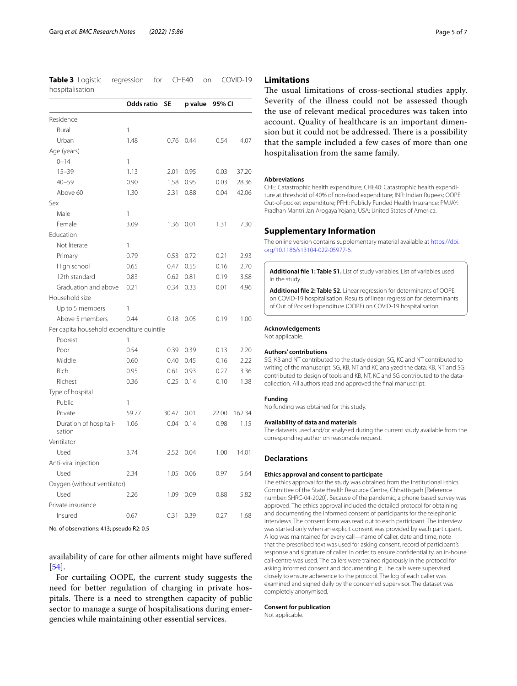<span id="page-4-2"></span>**Table 3** Logistic regression for CHE40 on COVID-19 hospitalisation

|                                           | Odds ratio | <b>SE</b> | p value | 95% CI |        |
|-------------------------------------------|------------|-----------|---------|--------|--------|
| Residence                                 |            |           |         |        |        |
| Rural                                     | 1          |           |         |        |        |
| Urban                                     | 1.48       | 0.76      | 0.44    | 0.54   | 4.07   |
| Age (years)                               |            |           |         |        |        |
| $0 - 14$                                  | 1          |           |         |        |        |
| $15 - 39$                                 | 1.13       | 2.01      | 0.95    | 0.03   | 37.20  |
| $40 - 59$                                 | 0.90       | 1.58      | 0.95    | 0.03   | 28.36  |
| Above 60                                  | 1.30       | 2.31      | 0.88    | 0.04   | 42.06  |
| Sex                                       |            |           |         |        |        |
| Male                                      | 1          |           |         |        |        |
| Female                                    | 3.09       | 1.36      | 0.01    | 1.31   | 7.30   |
| Education                                 |            |           |         |        |        |
| Not literate                              | 1          |           |         |        |        |
| Primary                                   | 0.79       | 0.53      | 0.72    | 0.21   | 2.93   |
| High school                               | 0.65       | 0.47      | 0.55    | 0.16   | 2.70   |
| 12th standard                             | 0.83       | 0.62      | 0.81    | 0.19   | 3.58   |
| Graduation and above                      | 0.21       | 0.34      | 0.33    | 0.01   | 4.96   |
| Household size                            |            |           |         |        |        |
| Up to 5 members                           | 1          |           |         |        |        |
| Above 5 members                           | 0.44       | 0.18      | 0.05    | 0.19   | 1.00   |
| Per capita household expenditure quintile |            |           |         |        |        |
| Poorest                                   | 1          |           |         |        |        |
| Poor                                      | 0.54       | 0.39      | 0.39    | 0.13   | 2.20   |
| Middle                                    | 0.60       | 0.40      | 0.45    | 0.16   | 2.22   |
| Rich                                      | 0.95       | 0.61      | 0.93    | 0.27   | 3.36   |
| Richest                                   | 0.36       | 0.25      | 0.14    | 0.10   | 1.38   |
| Type of hospital                          |            |           |         |        |        |
| Public                                    | 1          |           |         |        |        |
| Private                                   | 59.77      | 30.47     | 0.01    | 22.00  | 162.34 |
| Duration of hospitali-<br>sation          | 1.06       | 0.04      | 0.14    | 0.98   | 1.15   |
| Ventilator                                |            |           |         |        |        |
| Used                                      | 3.74       | 2.52      | 0.04    | 1.00   | 14.01  |
| Anti-viral injection                      |            |           |         |        |        |
| Used                                      | 2.34       | 1.05      | 0.06    | 0.97   | 5.64   |
| Oxygen (without ventilator)               |            |           |         |        |        |
| Used                                      | 2.26       | 1.09      | 0.09    | 0.88   | 5.82   |
| Private insurance                         |            |           |         |        |        |
| Insured                                   | 0.67       | 0.31      | 0.39    | 0.27   | 1.68   |

No. of observations: 413; pseudo R2: 0.5

availability of care for other ailments might have sufered [[54\]](#page-6-9).

For curtailing OOPE, the current study suggests the need for better regulation of charging in private hospitals. There is a need to strengthen capacity of public sector to manage a surge of hospitalisations during emergencies while maintaining other essential services.

## **Limitations**

The usual limitations of cross-sectional studies apply. Severity of the illness could not be assessed though the use of relevant medical procedures was taken into account. Quality of healthcare is an important dimension but it could not be addressed. There is a possibility that the sample included a few cases of more than one hospitalisation from the same family.

#### **Abbreviations**

CHE: Catastrophic health expenditure; CHE40: Catastrophic health expenditure at threshold of 40% of non-food expenditure; INR: Indian Rupees; OOPE: Out-of-pocket expenditure; PFHI: Publicly Funded Health Insurance; PMJAY: Pradhan Mantri Jan Arogaya Yojana; USA: United States of America.

#### **Supplementary Information**

The online version contains supplementary material available at [https://doi.](https://doi.org/10.1186/s13104-022-05977-6) [org/10.1186/s13104-022-05977-6](https://doi.org/10.1186/s13104-022-05977-6).

<span id="page-4-1"></span><span id="page-4-0"></span>**Additional fle 1: Table S1.** List of study variables. List of variables used in the study.

**Additional fle 2: Table S2.** Linear regression for determinants of OOPE on COVID-19 hospitalisation. Results of linear regression for determinants of Out of Pocket Expenditure (OOPE) on COVID-19 hospitalisation.

#### **Acknowledgements**

Not applicable.

#### **Authors' contributions**

SG, KB and NT contributed to the study design; SG, KC and NT contributed to writing of the manuscript. SG, KB, NT and KC analyzed the data; KB, NT and SG contributed to design of tools and KB, NT, KC and SG contributed to the datacollection. All authors read and approved the fnal manuscript.

#### **Funding**

No funding was obtained for this study.

#### **Availability of data and materials**

The datasets used and/or analysed during the current study available from the corresponding author on reasonable request.

## **Declarations**

#### **Ethics approval and consent to participate**

The ethics approval for the study was obtained from the Institutional Ethics Committee of the State Health Resource Centre, Chhattisgarh [Reference number: SHRC-04-2020]. Because of the pandemic, a phone based survey was approved. The ethics approval included the detailed protocol for obtaining and documenting the informed consent of participants for the telephonic interviews. The consent form was read out to each participant. The interview was started only when an explicit consent was provided by each participant. A log was maintained for every call—name of caller, date and time, note that the prescribed text was used for asking consent, record of participant's response and signature of caller. In order to ensure confdentiality, an in-house call-centre was used. The callers were trained rigorously in the protocol for asking informed consent and documenting it. The calls were supervised closely to ensure adherence to the protocol. The log of each caller was examined and signed daily by the concerned supervisor. The dataset was completely anonymised.

### **Consent for publication**

Not applicable.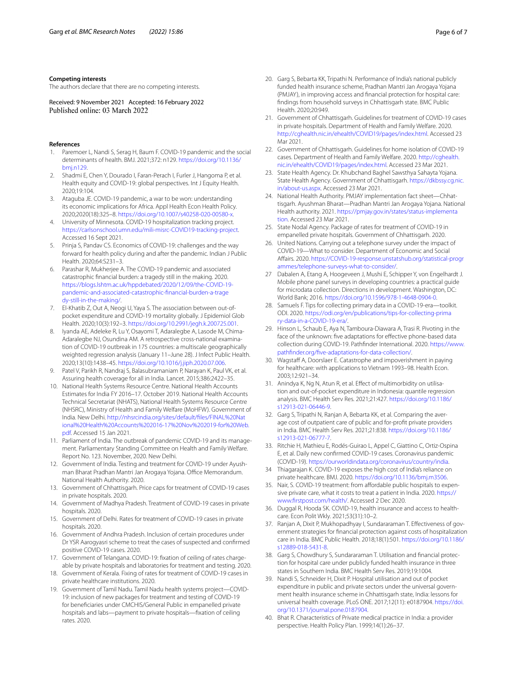#### **Competing interests**

The authors declare that there are no competing interests.

Received: 9 November 2021 Accepted: 16 February 2022

#### **References**

- <span id="page-5-0"></span>1. Paremoer L, Nandi S, Serag H, Baum F. COVID-19 pandemic and the social determinants of health. BMJ. 2021;372: n129. [https://doi.org/10.1136/](https://doi.org/10.1136/bmj.n129) [bmj.n129.](https://doi.org/10.1136/bmj.n129)
- 2. Shadmi E, Chen Y, Dourado I, Faran-Perach I, Furler J, Hangoma P, et al. Health equity and COVID-19: global perspectives. Int J Equity Health. 2020;19:104.
- <span id="page-5-1"></span>3. Ataguba JE. COVID-19 pandemic, a war to be won: understanding its economic implications for Africa. Appl Health Econ Health Policy. 2020;2020(18):325–8.<https://doi.org/10.1007/s40258-020-00580-x>.
- <span id="page-5-2"></span>4. University of Minnesota. COVID-19 hospitalization tracking project. <https://carlsonschool.umn.edu/mili-misrc-COVID19-tracking-project>. Accessed 16 Sept 2021.
- <span id="page-5-3"></span>5. Prinja S, Pandav CS. Economics of COVID-19: challenges and the way forward for health policy during and after the pandemic. Indian J Public Health. 2020;64:S231–3.
- <span id="page-5-23"></span>6. Parashar R, Mukherjee A. The COVID-19 pandemic and associated catastrophic fnancial burden: a tragedy still in the making. 2020. [https://blogs.lshtm.ac.uk/hppdebated/2020/12/09/the-COVID-19](https://blogs.lshtm.ac.uk/hppdebated/2020/12/09/the-COVID-19-pandemic-and-associated-catastrophic-financial-burden-a-tragedy-still-in-the-making/) [pandemic-and-associated-catastrophic-fnancial-burden-a-trage](https://blogs.lshtm.ac.uk/hppdebated/2020/12/09/the-COVID-19-pandemic-and-associated-catastrophic-financial-burden-a-tragedy-still-in-the-making/) [dy-still-in-the-making/.](https://blogs.lshtm.ac.uk/hppdebated/2020/12/09/the-COVID-19-pandemic-and-associated-catastrophic-financial-burden-a-tragedy-still-in-the-making/)
- 7. El-Khatib Z, Out A, Neogi U, Yaya S. The association between out-ofpocket expenditure and COVID-19 mortality globally. J Epidemiol Glob Health. 2020;10(3):192–3. <https://doi.org/10.2991/jegh.k.200725.001>.
- <span id="page-5-4"></span>8. Iyanda AE, Adeleke R, Lu Y, Osayomi T, Adaralegbe A, Lasode M, Chima-Adaralegbe NJ, Osundina AM. A retrospective cross-national examination of COVID-19 outbreak in 175 countries: a multiscale geographically weighted regression analysis (January 11–June 28). J Infect Public Health. 2020;13(10):1438–45.<https://doi.org/10.1016/j.jiph.2020.07.006>.
- <span id="page-5-5"></span>9. Patel V, Parikh R, Nandraj S, Balasubramaniam P, Narayan K, Paul VK, et al. Assuring health coverage for all in India. Lancet. 2015;386:2422–35.
- <span id="page-5-6"></span>10. National Health Systems Resource Centre. National Health Accounts Estimates for India FY 2016–17. October 2019. National Health Accounts Technical Secretariat (NHATS), National Health Systems Resource Centre (NHSRC), Ministry of Health and Family Welfare (MoHFW). Government of India. New Delhi. [http://nhsrcindia.org/sites/default/fles/FINAL%20Nat](http://nhsrcindia.org/sites/default/files/FINAL%20National%20Health%20Accounts%202016-17%20Nov%202019-for%20Web.pdf) [ional%20Health%20Accounts%202016-17%20Nov%202019-for%20Web.](http://nhsrcindia.org/sites/default/files/FINAL%20National%20Health%20Accounts%202016-17%20Nov%202019-for%20Web.pdf) [pdf.](http://nhsrcindia.org/sites/default/files/FINAL%20National%20Health%20Accounts%202016-17%20Nov%202019-for%20Web.pdf) Accessed 15 Jan 2021.
- <span id="page-5-7"></span>11. Parliament of India. The outbreak of pandemic COVID-19 and its management. Parliamentary Standing Committee on Health and Family Welfare. Report No. 123. November, 2020. New Delhi.
- <span id="page-5-8"></span>12. Government of India. Testing and treatment for COVID-19 under Ayushman Bharat Pradhan Mantri Jan Arogaya Yojana. Office Memorandum. National Health Authority. 2020.
- <span id="page-5-9"></span>13. Government of Chhattisgarh. Price caps for treatment of COVID-19 cases in private hospitals. 2020.
- 14. Government of Madhya Pradesh. Treatment of COVID-19 cases in private hospitals. 2020.
- 15. Government of Delhi. Rates for treatment of COVID-19 cases in private hospitals. 2020.
- 16. Government of Andhra Pradesh. Inclusion of certain procedures under Dr YSR Aarogyasri scheme to treat the cases of suspected and confrmed positive COVID-19 cases. 2020.
- 17. Government of Telangana. COVID-19: fxation of ceiling of rates chargeable by private hospitals and laboratories for treatment and testing. 2020.
- 18. Government of Kerala. Fixing of rates for treatment of COVID-19 cases in private healthcare institutions. 2020.
- <span id="page-5-10"></span>19. Government of Tamil Nadu. Tamil Nadu health systems project—COVID-19: inclusion of new packages for treatment and testing of COVID-19 for benefciaries under CMCHIS/General Public in empanelled private hospitals and labs—payment to private hospitals—fxation of ceiling rates. 2020.
- <span id="page-5-11"></span>20. Garg S, Bebarta KK, Tripathi N. Performance of India's national publicly funded health insurance scheme, Pradhan Mantri Jan Arogaya Yojana (PMJAY), in improving access and fnancial protection for hospital care: fndings from household surveys in Chhattisgarh state. BMC Public Health. 2020;20:949.
- <span id="page-5-12"></span>21. Government of Chhattisgarh. Guidelines for treatment of COVID-19 cases in private hospitals. Department of Health and Family Welfare. 2020. <http://cghealth.nic.in/ehealth/COVID19/pages/index.html>. Accessed 23 Mar 2021.
- <span id="page-5-13"></span>22. Government of Chhattisgarh. Guidelines for home isolation of COVID-19 cases. Department of Health and Family Welfare. 2020. [http://cghealth.](http://cghealth.nic.in/ehealth/COVID19/pages/index.html) [nic.in/ehealth/COVID19/pages/index.html](http://cghealth.nic.in/ehealth/COVID19/pages/index.html). Accessed 23 Mar 2021.
- <span id="page-5-14"></span>23. State Health Agency. Dr. Khubchand Baghel Sawsthya Sahayta Yojana. State Health Agency. Government of Chhattisgarh. [https://dkbssy.cg.nic.](https://dkbssy.cg.nic.in/about-us.aspx) [in/about-us.aspx](https://dkbssy.cg.nic.in/about-us.aspx). Accessed 23 Mar 2021.
- <span id="page-5-15"></span>24. National Health Authority. PMJAY implementation fact sheet—Chhattisgarh. Ayushman Bharat—Pradhan Mantri Jan Arogaya Yojana. National Health authority. 2021. [https://pmjay.gov.in/states/status-implementa](https://pmjay.gov.in/states/status-implementation) [tion.](https://pmjay.gov.in/states/status-implementation) Accessed 23 Mar 2021.
- <span id="page-5-16"></span>25. State Nodal Agency. Package of rates for treatment of COVID-19 in empanelled private hospitals. Government of Chhattisgarh. 2020.
- <span id="page-5-17"></span>26. United Nations. Carrying out a telephone survey under the impact of COVID-19—What to consider. Department of Economic and Social Afairs. 2020. [https://COVID-19-response.unstatshub.org/statistical-progr](https://COVID-19-response.unstatshub.org/statistical-programmes/telephone-surveys-what-to-consider/) [ammes/telephone-surveys-what-to-consider/.](https://COVID-19-response.unstatshub.org/statistical-programmes/telephone-surveys-what-to-consider/)
- 27 Dabalen A, Etang A, Hoogeveen J, Mushi E, Schipper Y, von Engelhardt J. Mobile phone panel surveys in developing countries: a practical guide for microdata collection. Directions in development. Washington, DC: World Bank; 2016. [https://doi.org/10.1596/978-1-4648-0904-0.](https://doi.org/10.1596/978-1-4648-0904-0)
- 28. Samuels F. Tips for collecting primary data in a COVID-19-era—toolkit. ODI. 2020. [https://odi.org/en/publications/tips-for-collecting-prima](https://odi.org/en/publications/tips-for-collecting-primary-data-in-a-COVID-19-era/) [ry-data-in-a-COVID-19-era/](https://odi.org/en/publications/tips-for-collecting-primary-data-in-a-COVID-19-era/).
- <span id="page-5-18"></span>29. Hinson L, Schaub E, Aya N, Tamboura-Diawara A, Trasi R. Pivoting in the face of the unknown: five adaptations for effective phone-based data collection during COVID-19. Pathfnder International. 2020. [https://www.](https://www.pathfinder.org/five-adaptations-for-data-collection/) [pathfinder.org/fve-adaptations-for-data-collection/.](https://www.pathfinder.org/five-adaptations-for-data-collection/)
- <span id="page-5-19"></span>30. Wagstaff A, Doorslaer E. Catastrophe and impoverishment in paying for healthcare: with applications to Vietnam 1993–98. Health Econ. 2003;12:921–34.
- <span id="page-5-20"></span>31. Anindya K, Ng N, Atun R, et al. Efect of multimorbidity on utilisation and out-of-pocket expenditure in Indonesia: quantile regression analysis. BMC Health Serv Res. 2021;21:427. [https://doi.org/10.1186/](https://doi.org/10.1186/s12913-021-06446-9) [s12913-021-06446-9](https://doi.org/10.1186/s12913-021-06446-9).
- <span id="page-5-21"></span>32. Garg S, Tripathi N, Ranjan A, Bebarta KK, et al. Comparing the average cost of outpatient care of public and for-proft private providers in India. BMC Health Serv Res. 2021;21:838. [https://doi.org/10.1186/](https://doi.org/10.1186/s12913-021-06777-7) [s12913-021-06777-7](https://doi.org/10.1186/s12913-021-06777-7).
- <span id="page-5-22"></span>33. Ritchie H, Mathieu E, Rodés-Guirao L, Appel C, Giattino C, Ortiz-Ospina E, et al. Daily new confrmed COVID-19 cases. Coronavirus pandemic (COVID-19). [https://ourworldindata.org/coronavirus/country/india.](https://ourworldindata.org/coronavirus/country/india)
- <span id="page-5-24"></span>34 Thiagarajan K. COVID-19 exposes the high cost of India's reliance on private healthcare. BMJ. 2020. [https://doi.org/10.1136/bmj.m3506.](https://doi.org/10.1136/bmj.m3506)
- <span id="page-5-25"></span>35. Nair, S. COVID-19 treatment: from affordable public hospitals to expensive private care, what it costs to treat a patient in India. 2020. [https://](https://www.firstpost.com/health/) [www.frstpost.com/health/](https://www.firstpost.com/health/). Accessed 2 Dec 2020.
- <span id="page-5-26"></span>36. Duggal R, Hooda SK. COVID-19, health insurance and access to healthcare. Econ Polit Wkly. 2021;53(31):10–2.
- <span id="page-5-27"></span>37. Ranjan A, Dixit P, Mukhopadhyay I, Sundararaman T. Efectiveness of government strategies for fnancial protection against costs of hospitalization care in India. BMC Public Health. 2018;18(1):501. [https://doi.org/10.1186/](https://doi.org/10.1186/s12889-018-5431-8) [s12889-018-5431-8.](https://doi.org/10.1186/s12889-018-5431-8)
- 38. Garg S, Chowdhury S, Sundararaman T. Utilisation and fnancial protection for hospital care under publicly funded health insurance in three states in Southern India. BMC Health Serv Res. 2019;19:1004.
- <span id="page-5-28"></span>39. Nandi S, Schneider H, Dixit P. Hospital utilisation and out of pocket expenditure in public and private sectors under the universal government health insurance scheme in Chhattisgarh state, India: lessons for universal health coverage. PLoS ONE. 2017;12(11): e0187904. [https://doi.](https://doi.org/10.1371/journal.pone.0187904) [org/10.1371/journal.pone.0187904](https://doi.org/10.1371/journal.pone.0187904).
- <span id="page-5-29"></span>40. Bhat R. Characteristics of Private medical practice in India: a provider perspective. Health Policy Plan. 1999;14(1):26–37.